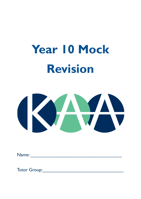# **Year 10 Mock Revision**



Name: \_\_\_\_\_\_\_\_\_\_\_\_\_\_\_\_\_\_\_\_\_\_\_\_\_\_\_\_\_\_\_\_\_\_\_

Tutor Group: The Committee of the Committee of the Committee of the Committee of the Committee of the Committee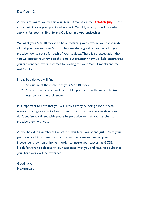Dear Year 10,

As you are aware, you will sit your Year 10 mocks on the **4th-8th July.** These mocks will inform your predicted grades inYear 11, which you will use when applying for post-16 Sixth forms, Colleges and Apprenticeships.

We want your Year 10 mocks to be a rewarding week, where you consolidate all that you have learnt in Year 10. They are also a great opportunity for you to practice how to revise for each of your subjects.There is no expectation that you will master your revision this time, but practising now will help ensure that you are confident when it comes to revising for your Year 11 mocks and the real GCSEs.

In this booklet you will find:

- 1. An outline of the content of your Year 10 mock
- 2. Advice from each of our Heads of Department on the most effective ways to revise in their subject

It is important to note that you will likely already be doing a lot of these revision strategies as part of your homework. If there are any strategies you don't yet feel confident with, please be proactive and ask your teacher to practice them with you.

As you heard in assembly at the start of this term, you spend just 13% of your year in school; it is therefore vital that you dedicate yourself to your independent revision at home in order to insure your success at GCSE. I look forward to celebrating your successes with you and have no doubt that your hard work will be rewarded.

Good luck, Ms.Armitage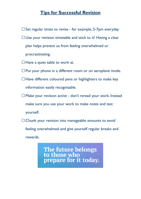# **Tips for Successful Revision**

- $\square$  Set regular times to revise for example, 5-7pm everyday
- $\Box$  Use your revision timetable and stick to it! Having a clear plan helps prevent us from feeling overwhelmed or procrastinating.
- $\Box$  Have a quiet table to work at.
- $\square$  Put your phone in a different room or on aeroplane mode.
- $\Box$  Have different coloured pens or highlighters to make key information easily recognisable.
- Make your revision active don't reread your work. Instead make sure you use your work to make notes and test yourself.
- $\Box$  Chunk your revision into manageable amounts to avoid feeling overwhelmed and give yourself regular breaks and rewards.

The future belongs<br>to those who prepare for it today.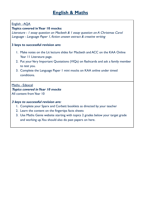# English - AQA

# **Topics covered inYear 10 mocks:**

Literature - 1 essay question on Macbeth & 1 essay question on A Christmas Carol Language - Language Paper 1, fiction unseen extract & creative writing

# **3 keys to successful revision are:**

- 1. Make notes on the Lit lecture slides for Macbeth and ACC on the KAA Online Year 11 Literature page.
- 2. Put your Very Important Quotations (VIQs) on flashcards and ask a family member to test you.
- 3. Complete the Language Paper 1 mini mocks on KAA online under timed conditions.

# Maths - Edexcel **Topics covered inYear 10 mocks** All content fromYear 10

- 1. Complete your Sparx and Corbett booklets as directed by your teacher
- 2. Learn the content on the fingertips facts sheets
- 3. Use Maths Genie website starting with topics 2 grades below your target grade and working up.You should also do past papers on here.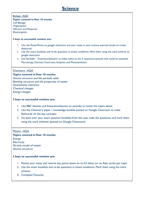# **Science**

Biology - AQA **Topics covered inYear 10 mocks:** Cell Biology **Organisation** Infection and Response **Bioenergetics** 

#### **3 keys to successful revision are:**

- 1. Use the PowerPoints on google classroom and your notes in your science exercise books to create flashcards.
- 2. Use the exam booklets and re-do questions in timed conditions. Mark them using the mark scheme on google classroom.
- 3. UseYouTube 'freesciencelessons' to make notes on the 5 required practicals that could be assessed: Microscopy, Osmosis, Food tests, Enzymes and Photosynthesis.

#### Chemistry - AQA

#### **Topics covered in Year 10 mocks:**

Atomic structure and the periodic table Bonding, structure and the properties of matter Quantitative chemistry Chemical changes Energy changes

#### **3 keys to successful revision are:**

- 1. Use BBC bitesize and freesciencelessons on youtube to revisit the topics above
- 2. Use the Chemistry paper 1 knowledge booklet posted on Google Classroom to make flashcards on the key concepts
- 3. Go back over your exam question booklets from this year, redo the questions, and mark them using the mark schemes (posted on Google Classroom)

#### Physics - AQA

#### **Topics covered in Year 10 mocks:**

**Energy Electricity** Particle model of matter Atomic structure

- 1. Revisit your notes and rewrite key points down on an A3 sheet (or on flash cards) per topic
- 2. Use the exam booklets and re-do questions in timed conditions. Mark them using the mark scheme.
- 3. Complete Tassomai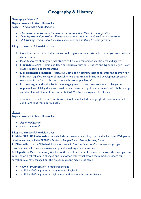#### Geography - Edexcel B

#### **Topics covered in Year 10 mocks:**

Paper 1: (1 hour and a half) 90 marks

- *●* **Hazardous Earth** Shorter answer questions and an 8 mark assess question
- *●* **Development Dynamics** Shorter answer questions and an 8 mark assess question
- *●* **Urbanising world** Shorter answer questions and an 8 mark assess question

#### **3 keys to successful revision are:**

- 1. Complete the revision clocks that you will be given in each revision lesson, so you are confident about content.
- 2. Make flashcards about your case studies to help you remember specific facts and figures.
- **Hazardous earth** Haiti and Japan earthquakes, hurricane Katrina and Typhoon Haiyan learn causes, impacts and management.
- **Development dynamics** Malawi as a developing country, India as an emerging country. For India learn significance, regional inequality (Maharashtra and Bihar) and development projects (top-down is the Sardar Sarovar dam and bottom-up is Biogas).
- **Urbanising world -** Mumbai is the emerging megacity. You need to know challenges and opportunities of living there and development projects (top-down include Gorai rubbish dump and the Mumbai Monorail, bottom-up is SPARC toilets and Agora microfinance).

3. Complete practice exam questions that will be uploaded onto google classroom in timed conditions (one mark per minute).

#### **History**

#### **Topics covered in Year 10 mocks:**

- *●* Paper 1: Migration
- *●* Paper 2: Elizabeth

#### **3 keys to successful revision are:**

**1. Make SPEND flashcards** - on each flash card write down a key topic and bullet point FIVE pieces of evidence that includes SPEND - Statistics, People/Places, Events, Names, Dates

**2. Elizabeth:** Use the "Elizabeth Model Answers + Practice Questions" document on google classroom to look at model answer and practice writing exam questions

**3. Migration:** Make a summary timeline of the four key topics of the course below - then compare and in one color highlight what's changed and in another color what stayed the same. E.g reasons for migration may have changed but the groups migrating may be the same.

- c800–c1500: Migration in medieval England
- c1500–c1700: Migration in early modern England
- c1700–c1900: Migration in eighteenth- and nineteenth-century Britain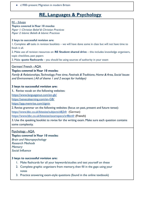● c1900–present: Migration in modern Britain

# **RE, Languages & Psychology**

### RE – Eduqas

#### **Topics covered in Year 10 mocks:**

Paper 1: Christian Belief & Christian Practices Paper 2: Islamic Beliefs & Islamic Practices

#### **3 keys to successful revision are:**

1. Complete **all** tasks in revision booklets – we will have done some in class but will not have time to finish it all.

2. Make use of revision resources on **RE Student shared drive** – this includes knowledge organisers, topic checklists, past papers

3. Make **quote flashcards** – you should be using sources of authority in your exam

## German/ French - AQA

# **Topics covered inYear 10 mocks:**

Family & Relationships, Technology, Free time, Festivals & Traditions, Home & Area, Social Issues and Environment ( All of theme 1 and 2 except for holidays)

## **3 keys to successful revision are:**

**1.** Revise vocab on the following websites:

<https://www.languagenut.com/en-gb/>

<https://senecalearning.com/en-GB/>

<https://app.memrise.com/signin>

2. Revise grammar on the following websites (focus on past, present and future tense):

<https://www.bbc.co.uk/bitesize/subjects/z8j2tfr> (German)

<https://www.bbc.co.uk/bitesize/examspecs/zr8bmfr> (French)

3. Use the speaking booklet to revise for the writing exam. Make sure each question contains some complexity.

Psychology - AQA

# **Topics covered inYear 10 mocks:**

Brain and Neuropsychology Research Methods **Memory** Social Influence

- 1. Make flashcards for all your keywords/studies and test yourself on these
- 2. Complete graphic organisers from memory, then fill in the gaps using your notes
- 3. Practice answering exam-style questions (found in the online textbook)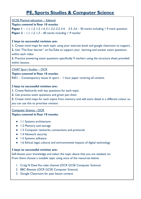# **PE, Sports Studies & Computer Science**

GCSE Physical education - Edexcel

# **Topics covered inYear 10 mocks:**

**Paper** 1 – 1.1, 1.2, 1.3, 1.4, 3.1, 3.2, 3.3, 3.4, 3.5, 3.6 – 50 marks including 1 9 mark question. **Paper 2** – 1.1, 1.2, 1.3 – 40 marks including <sup>1</sup> 9 marker

# **3 keys to successful revision are:**

**1.** Create mind maps for each topic using your exercise book and google classroom to support . **2.** Use "The Ever learner" on YouTube to support your learning and answer exam questions within each video

**3.** Practice answering exam questions specifically 9 markers using the structure sheet provided within lessons.

CNAT Sport Studies – OCR

# **Topics covered inYear 10 mocks:**

R051 – Contemporary issues In sport - 1 hour paper covering all content.

# **3 keys to successful revision are:**

**1.** Create flashcards with key questions for each topic.

**2.** Use practice exam questions and green pen them

**3.** Create mind maps for each topics from memory and add extra detail in a different colour so you can use this to prioritise revision.

# Computer Science - OCR **Topics covered inYear 10 mocks:**

- 1.1 Systems architecture
- 1.2 Memory and storage
- 1.3 Computer networks, connections and protocols
- 1.4 Network security
- 1.5 Systems software
- 1.6 Ethical, legal, cultural and environmental impacts of digital technology

# **3 keys to successful revision are:**

Self-Assess your knowledge and select the topic above that you are weakest on. From there choose a suitable topic using once of the resources below.

- 1. Craig N Dave You tube channel (OCR GCSE Computer Science)
- 2. BBC Bitesize (OCR GCSE Computer Science)
- 3. Google Classroom for past lesson content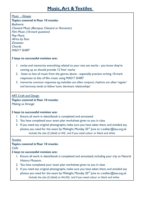## Music - Eduqas

# **Topics covered inYear 10 mocks:**

Badinerie Classical Music (Baroque, Classical or Romantic) Film Music (10-mark question) Pop Music Africa by Toto **Dictation** Chords **MAD T SHIRT** 

#### **3 keys to successful revision are:**

- 1. revise and memorise everything related to your two set works you know they're coming up so should provide 12 'free' marks
- 2. listen to lots of music from the genres above especially practice writing 10-mark responses to bits of film music using MAD T SHIRT
- 3. memorise common responses eg melodies are often conjunct, rhythms are often 'regular' and harmony tends to follow 'tonic dominant relationships'

#### ART, Craft and Design

## **Topics covered inYear 10 mocks:**

Making us Strange

#### **3 keys to successful revision are:**

- 1. Ensure all work in sketchbook is completed and annotated
- 2. You have completed your exam plan worksheet given to you in class
- 3. If you need any original photographs, make sure you have taken them, and emailed any photos you need for the exam by Midnight, Monday 20<sup>th</sup> June to t.walker@kaa.org.uk Include the size (2 (tiled) or A4) and if you need colour or black and white

#### **Textiles**

#### **Topics covered inYear 10 mocks:**

Cells

- 1. Ensure all work in sketchbook is completed and annotated, including your trip to Natural History Museum.
- 2. You have completed your exam plan worksheet given to you in class
- 3. If you need any original photographs, make sure you have taken them, and emailed any photos you need for the exam by Midnight, Monday 20 $^{\rm th}$  June to t.walker@kaa.org.uk Include the size (2 (tiled) or A4,A5) and if you need colour or black and white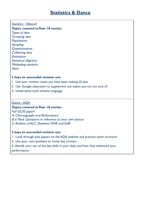## Statistics - Edexcel

# **Topics covered inYear 10 mocks:**

Types of data Grouping data **Populations Sampling Ouestionnaires** Collecting data **Estimation** Statistical diagrams Misleading statistics Skew

# **3 keys to successful revision are:**

- 1. Use your revision notes you have been making all year
- 2. Use Google classroom to supplement any topics you are not sure of
- 3. Understand mark scheme language

# Dance - AQA

# **Topics covered inYear 10 mocks:**

Full GCSE paper!

A: Choreography and Performance B: 6 Mark Questions in reference to your own dances C:Analysis of ALC, Shadows,WHE and EofE

- 1. Look through past papers on the AQA website and practice exam structure
- 2. Use your own booklets to revise key content
- 3. Identify your use of the key skills in your duet, and how they enhanced your performance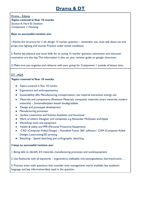# **Drama & DT**

Drama – Edquas **Topics covered in Year 10 mocks:** Section A: Hard To Swallow Component 1: Devising

#### **Keys to successful revision are:**

1.Revise the structure for a set design 15 marker question – remember you must talk about set and props (not lighting and sound). Practice under timed conditions.

2. Revise key physical and vocal skills for an acting 15 marker question, interaction and character motivation are also key.This information is also on your revision guide on google classroom.

3. Make sure you organise and rehearse with your group for Component 1 outside of lesson time.

# DT - AQA

#### **Topics covered in Year 10 mocks:**

- Topics covered in Year 10 mocks:
- Ergonomics and anthropometrics
- Sustainability: 6Rs: Manufacturing, transportation, raw material extraction, energy use
- Materials and components (Resistant Materials, composite materials, smart materials, modern materials) – Sustainable/plant based/ biodegradable.
- Design and prototype development
- Manufacturing processes
- Surface treatments and finishes:Aesthetic and functional
- Work of others: Designer and companies e.g.Alexander McQueen and Apple
- Workshop tools and equipment
- Health & safety and PPE (Personal Protective Equipment)
- CAD (Computer Aided Design) Autodesk Fusion 360 software / CAM (Computer Aided Design) Lasercutting/3D printing
- Sketching Speed sketching and orthographic sketching

#### **3 keys to successful revision are:**

1. Being able to identify 2/3 materials, manufacturing processes and tools/equipment

2. Use flashcards with all keywords – ergo/anthro, malleable, microencapsulation, thermochromic…

3. Practice exam style questions that consider time management, marks available, key academic language and key information/data used in the question.